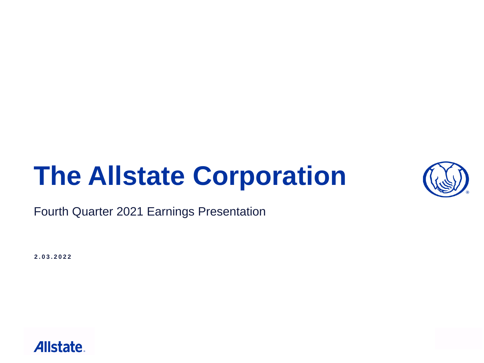# **The Allstate Corporation**



Fourth Quarter 2021 Earnings Presentation

**2 . 0 3 . 2 0 2 2**

#### Allstate.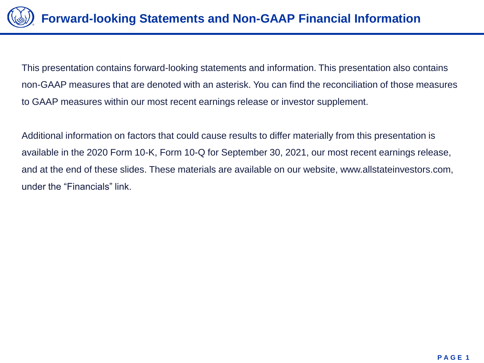This presentation contains forward-looking statements and information. This presentation also contains non-GAAP measures that are denoted with an asterisk. You can find the reconciliation of those measures to GAAP measures within our most recent earnings release or investor supplement.

Additional information on factors that could cause results to differ materially from this presentation is available in the 2020 Form 10-K, Form 10-Q for September 30, 2021, our most recent earnings release, and at the end of these slides. These materials are available on our website, www.allstateinvestors.com, under the "Financials" link.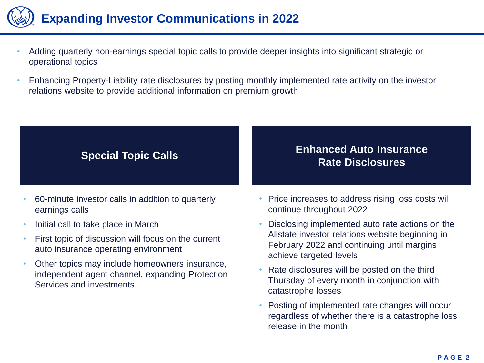# **Expanding Investor Communications in 2022**

- Adding quarterly non-earnings special topic calls to provide deeper insights into significant strategic or operational topics
- Enhancing Property-Liability rate disclosures by posting monthly implemented rate activity on the investor relations website to provide additional information on premium growth

- 60-minute investor calls in addition to quarterly earnings calls
- Initial call to take place in March
- First topic of discussion will focus on the current auto insurance operating environment
- Other topics may include homeowners insurance, independent agent channel, expanding Protection Services and investments

#### **Special Topic Calls Enhanced Auto Insurance Rate Disclosures**

- Price increases to address rising loss costs will continue throughout 2022
- Disclosing implemented auto rate actions on the Allstate investor relations website beginning in February 2022 and continuing until margins achieve targeted levels
- Rate disclosures will be posted on the third Thursday of every month in conjunction with catastrophe losses
- Posting of implemented rate changes will occur regardless of whether there is a catastrophe loss release in the month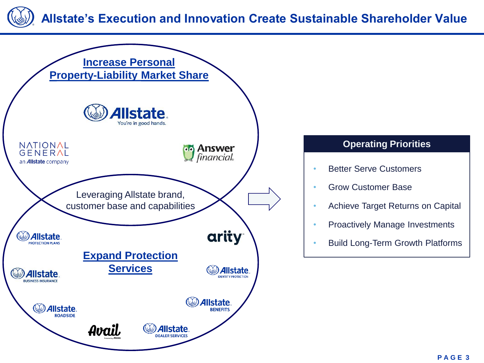# **Allstate's Execution and Innovation Create Sustainable Shareholder Value**

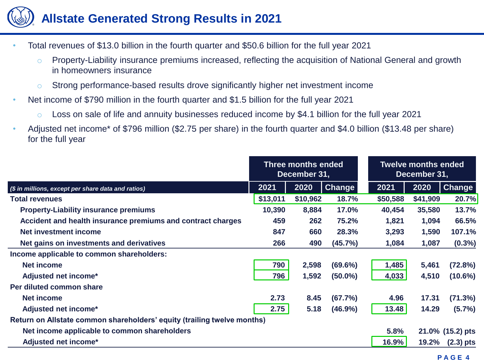# **Allstate Generated Strong Results in 2021**

- Total revenues of \$13.0 billion in the fourth quarter and \$50.6 billion for the full year 2021
	- o Property-Liability insurance premiums increased, reflecting the acquisition of National General and growth in homeowners insurance
	- o Strong performance-based results drove significantly higher net investment income
- Net income of \$790 million in the fourth quarter and \$1.5 billion for the full year 2021
	- o Loss on sale of life and annuity businesses reduced income by \$4.1 billion for the full year 2021
- Adjusted net income\* of \$796 million (\$2.75 per share) in the fourth quarter and \$4.0 billion (\$13.48 per share) for the full year

| <b>Three months ended</b><br>December 31,                               |       |               | <b>Twelve months ended</b><br>December 31, |          |                  |
|-------------------------------------------------------------------------|-------|---------------|--------------------------------------------|----------|------------------|
| 2021                                                                    | 2020  | <b>Change</b> | 2021                                       | 2020     | <b>Change</b>    |
| \$13,011                                                                |       | 18.7%         | \$50,588                                   | \$41,909 | 20.7%            |
| 10,390                                                                  |       | 17.0%         | 40,454                                     | 35,580   | 13.7%            |
| 459                                                                     |       | 75.2%         | 1,821                                      | 1,094    | 66.5%            |
| 847                                                                     |       | 28.3%         | 3,293                                      | 1,590    | 107.1%           |
| 266                                                                     |       | (45.7%)       | 1,084                                      | 1,087    | $(0.3\%)$        |
|                                                                         |       |               |                                            |          |                  |
| 790                                                                     | 2,598 | $(69.6\%)$    | 1,485                                      | 5,461    | (72.8%)          |
| 796                                                                     | 1,592 | $(50.0\%)$    | 4,033                                      | 4,510    | $(10.6\%)$       |
|                                                                         |       |               |                                            |          |                  |
| 2.73                                                                    | 8.45  | (67.7%)       | 4.96                                       | 17.31    | (71.3%)          |
| 2.75                                                                    | 5.18  | $(46.9\%)$    | 13.48                                      | 14.29    | $(5.7\%)$        |
| Return on Allstate common shareholders' equity (trailing twelve months) |       |               |                                            |          |                  |
|                                                                         |       |               | 5.8%                                       |          | 21.0% (15.2) pts |
|                                                                         |       |               | 16.9%                                      | 19.2%    | $(2.3)$ pts      |
|                                                                         |       |               | \$10,962<br>8,884<br>262<br>660<br>490     |          |                  |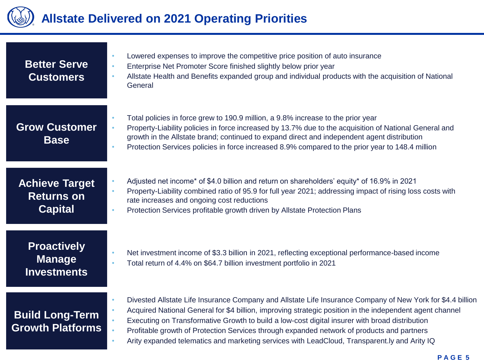# **Allstate Delivered on 2021 Operating Priorities**

| <b>Better Serve</b><br><b>Customers</b>                      | $\bullet$ | Lowered expenses to improve the competitive price position of auto insurance<br>Enterprise Net Promoter Score finished slightly below prior year<br>Allstate Health and Benefits expanded group and individual products with the acquisition of National<br>General                                                                                                                                                    |
|--------------------------------------------------------------|-----------|------------------------------------------------------------------------------------------------------------------------------------------------------------------------------------------------------------------------------------------------------------------------------------------------------------------------------------------------------------------------------------------------------------------------|
| <b>Grow Customer</b><br><b>Base</b>                          |           | Total policies in force grew to 190.9 million, a 9.8% increase to the prior year<br>Property-Liability policies in force increased by 13.7% due to the acquisition of National General and<br>growth in the Allstate brand; continued to expand direct and independent agent distribution<br>Protection Services policies in force increased 8.9% compared to the prior year to 148.4 million                          |
| <b>Achieve Target</b><br><b>Returns on</b><br><b>Capital</b> | $\bullet$ | Adjusted net income* of \$4.0 billion and return on shareholders' equity* of 16.9% in 2021<br>Property-Liability combined ratio of 95.9 for full year 2021; addressing impact of rising loss costs with<br>rate increases and ongoing cost reductions<br>Protection Services profitable growth driven by Allstate Protection Plans                                                                                     |
| <b>Proactively</b><br><b>Manage</b><br><b>Investments</b>    |           | Net investment income of \$3.3 billion in 2021, reflecting exceptional performance-based income<br>Total return of 4.4% on \$64.7 billion investment portfolio in 2021                                                                                                                                                                                                                                                 |
| <b>Build Long-Term</b><br><b>Growth Platforms</b>            |           | Divested Allstate Life Insurance Company and Allstate Life Insurance Company of New York for \$4.4 billion<br>Acquired National General for \$4 billion, improving strategic position in the independent agent channel<br>Executing on Transformative Growth to build a low-cost digital insurer with broad distribution<br>Profitable growth of Protection Services through expanded network of products and partners |

• Arity expanded telematics and marketing services with LeadCloud, Transparent.ly and Arity IQ

#### **P A G E 5**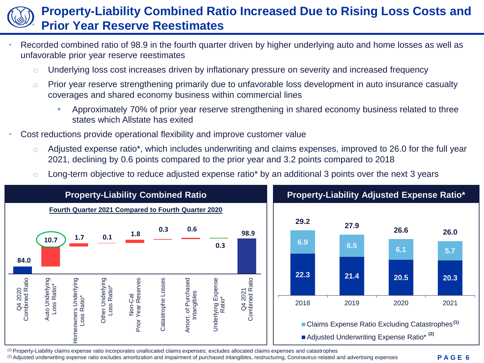#### **Property-Liability Combined Ratio Increased Due to Rising Loss Costs and Prior Year Reserve Reestimates**

- Recorded combined ratio of 98.9 in the fourth quarter driven by higher underlying auto and home losses as well as unfavorable prior year reserve reestimates
	- o Underlying loss cost increases driven by inflationary pressure on severity and increased frequency
	- o Prior year reserve strengthening primarily due to unfavorable loss development in auto insurance casualty coverages and shared economy business within commercial lines
		- Approximately 70% of prior year reserve strengthening in shared economy business related to three states which Allstate has exited
- Cost reductions provide operational flexibility and improve customer value
	- $\circ$  Adjusted expense ratio<sup>\*</sup>, which includes underwriting and claims expenses, improved to 26.0 for the full year 2021, declining by 0.6 points compared to the prior year and 3.2 points compared to 2018
	- $\circ$  Long-term objective to reduce adjusted expense ratio\* by an additional 3 points over the next 3 years



(1) Property-Liability claims expense ratio incorporates unallocated claims expenses; excludes allocated claims expenses and catastrophes

 $^{(2)}$  Adjusted underwriting expense ratio excludes amortization and impairment of purchased intangibles, restructuring, Coronavirus-related and advertising expenses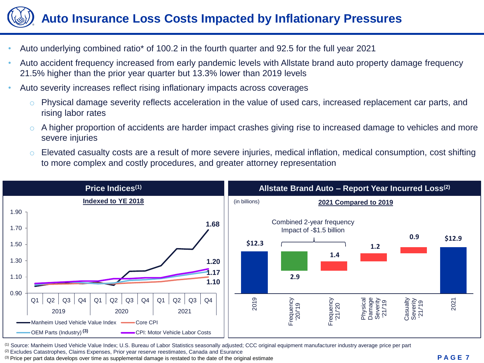#### **Auto Insurance Loss Costs Impacted by Inflationary Pressures**

- Auto underlying combined ratio\* of 100.2 in the fourth quarter and 92.5 for the full year 2021
- Auto accident frequency increased from early pandemic levels with Allstate brand auto property damage frequency 21.5% higher than the prior year quarter but 13.3% lower than 2019 levels
- Auto severity increases reflect rising inflationary impacts across coverages
	- o Physical damage severity reflects acceleration in the value of used cars, increased replacement car parts, and rising labor rates
	- A higher proportion of accidents are harder impact crashes giving rise to increased damage to vehicles and more severe injuries
	- Elevated casualty costs are a result of more severe injuries, medical inflation, medical consumption, cost shifting to more complex and costly procedures, and greater attorney representation



(1) Source: Manheim Used Vehicle Value Index; U.S. Bureau of Labor Statistics seasonally adjusted; CCC original equipment manufacturer industry average price per part

(2) Excludes Catastrophes, Claims Expenses, Prior year reserve reestimates, Canada and Esurance

 $(3)$  Price per part data develops over time as supplemental damage is restated to the date of the original estimate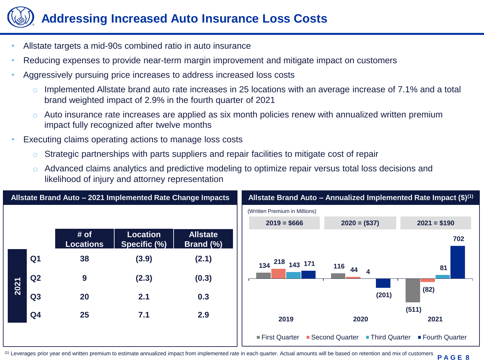#### **Addressing Increased Auto Insurance Loss Costs**

- Allstate targets a mid-90s combined ratio in auto insurance
- Reducing expenses to provide near-term margin improvement and mitigate impact on customers
- Aggressively pursuing price increases to address increased loss costs
	- o Implemented Allstate brand auto rate increases in 25 locations with an average increase of 7.1% and a total brand weighted impact of 2.9% in the fourth quarter of 2021
	- $\circ$  Auto insurance rate increases are applied as six month policies renew with annualized written premium impact fully recognized after twelve months
- Executing claims operating actions to manage loss costs
	- Strategic partnerships with parts suppliers and repair facilities to mitigate cost of repair
	- o Advanced claims analytics and predictive modeling to optimize repair versus total loss decisions and likelihood of injury and attorney representation



(1) Leverages prior year end written premium to estimate annualized impact from implemented rate in each quarter. Actual amounts will be based on retention and mix of customers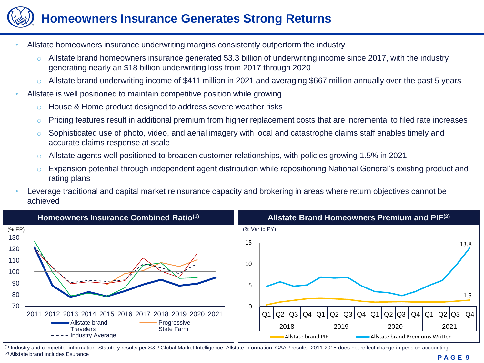## **Homeowners Insurance Generates Strong Returns**

- Allstate homeowners insurance underwriting margins consistently outperform the industry
	- $\circ$  Allstate brand homeowners insurance generated \$3.3 billion of underwriting income since 2017, with the industry generating nearly an \$18 billion underwriting loss from 2017 through 2020
	- $\circ$  Allstate brand underwriting income of \$411 million in 2021 and averaging \$667 million annually over the past 5 years
- Allstate is well positioned to maintain competitive position while growing
	- o House & Home product designed to address severe weather risks
	- $\circ$  Pricing features result in additional premium from higher replacement costs that are incremental to filed rate increases
	- o Sophisticated use of photo, video, and aerial imagery with local and catastrophe claims staff enables timely and accurate claims response at scale
	- o Allstate agents well positioned to broaden customer relationships, with policies growing 1.5% in 2021
	- o Expansion potential through independent agent distribution while repositioning National General's existing product and rating plans
- Leverage traditional and capital market reinsurance capacity and brokering in areas where return objectives cannot be achieved



(1) Industry and competitor information: Statutory results per S&P Global Market Intelligence; Allstate information: GAAP results. 2011-2015 does not reflect change in pension accounting (2) Allstate brand includes Esurance

#### **P A G E 9**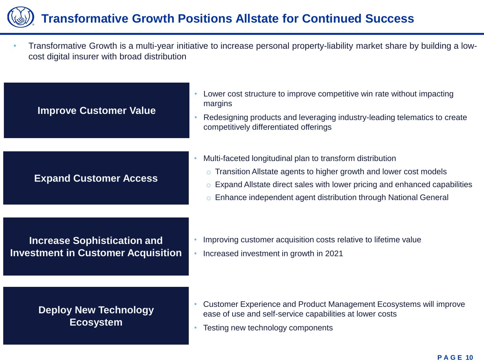#### **Transformative Growth Positions Allstate for Continued Success**

• Transformative Growth is a multi-year initiative to increase personal property-liability market share by building a lowcost digital insurer with broad distribution

#### **Improve Customer Value**

- Lower cost structure to improve competitive win rate without impacting margins
- Redesigning products and leveraging industry-leading telematics to create competitively differentiated offerings

#### **Expand Customer Access**

- Multi-faceted longitudinal plan to transform distribution
	- o Transition Allstate agents to higher growth and lower cost models
	- o Expand Allstate direct sales with lower pricing and enhanced capabilities
	- o Enhance independent agent distribution through National General

**Increase Sophistication and Investment in Customer Acquisition**

- Improving customer acquisition costs relative to lifetime value
- Increased investment in growth in 2021

#### **Deploy New Technology Ecosystem**

- Customer Experience and Product Management Ecosystems will improve ease of use and self-service capabilities at lower costs
- Testing new technology components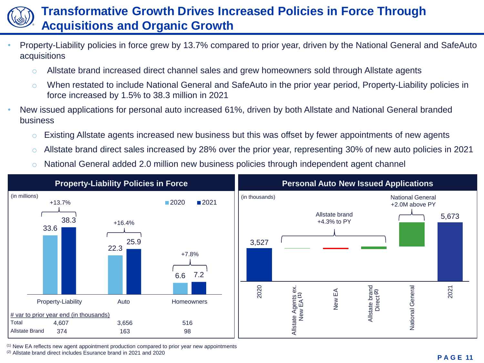

#### **Transformative Growth Drives Increased Policies in Force Through Acquisitions and Organic Growth**

- Property-Liability policies in force grew by 13.7% compared to prior year, driven by the National General and SafeAuto acquisitions
	- o Allstate brand increased direct channel sales and grew homeowners sold through Allstate agents
	- o When restated to include National General and SafeAuto in the prior year period, Property-Liability policies in force increased by 1.5% to 38.3 million in 2021
- New issued applications for personal auto increased 61%, driven by both Allstate and National General branded business
	- $\circ$  Existing Allstate agents increased new business but this was offset by fewer appointments of new agents
	- o Allstate brand direct sales increased by 28% over the prior year, representing 30% of new auto policies in 2021
	- o National General added 2.0 million new business policies through independent agent channel



(1) New EA reflects new agent appointment production compared to prior year new appointments (2) Allstate brand direct includes Esurance brand in 2021 and 2020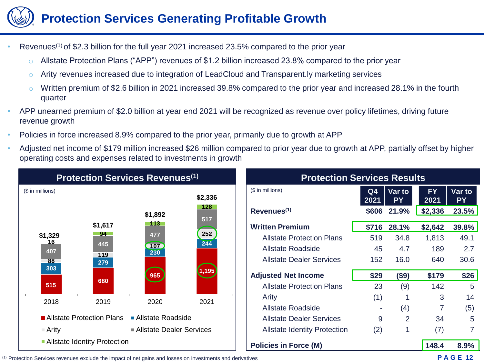# **Protection Services Generating Profitable Growth**

- Revenues<sup>(1)</sup> of \$2.3 billion for the full year 2021 increased 23.5% compared to the prior year
	- o Allstate Protection Plans ("APP") revenues of \$1.2 billion increased 23.8% compared to the prior year
	- $\circ$  Arity revenues increased due to integration of LeadCloud and Transparent. Iy marketing services
	- $\circ$  Written premium of \$2.6 billion in 2021 increased 39.8% compared to the prior year and increased 28.1% in the fourth quarter
- APP unearned premium of \$2.0 billion at year end 2021 will be recognized as revenue over policy lifetimes, driving future revenue growth
- Policies in force increased 8.9% compared to the prior year, primarily due to growth at APP
- Adjusted net income of \$179 million increased \$26 million compared to prior year due to growth at APP, partially offset by higher operating costs and expenses related to investments in growth



| <b>Protection Services Results</b>  |                        |                     |                   |               |  |  |  |  |
|-------------------------------------|------------------------|---------------------|-------------------|---------------|--|--|--|--|
| (\$ in millions)                    | Q <sub>4</sub><br>2021 | Var to<br><b>PY</b> | <b>FY</b><br>2021 | Var to<br>PY. |  |  |  |  |
| Revenues <sup>(1)</sup>             | \$606                  | 21.9%               | \$2,336           | 23.5%         |  |  |  |  |
| <b>Written Premium</b>              | \$716                  | 28.1%               | \$2,642           | 39.8%         |  |  |  |  |
| <b>Allstate Protection Plans</b>    | 519                    | 34.8                | 1,813             | 49.1          |  |  |  |  |
| <b>Allstate Roadside</b>            | 45                     | 4.7                 | 189               | 2.7           |  |  |  |  |
| <b>Allstate Dealer Services</b>     | 152                    | 16.0                | 640               | 30.6          |  |  |  |  |
| <b>Adjusted Net Income</b>          | \$29                   | (\$9)               | \$179             | \$26          |  |  |  |  |
| <b>Allstate Protection Plans</b>    | 23                     | (9)                 | 142               | 5             |  |  |  |  |
| Arity                               | (1)                    | 1                   | 3                 | 14            |  |  |  |  |
| Allstate Roadside                   |                        | (4)                 | 7                 | (5)           |  |  |  |  |
| <b>Allstate Dealer Services</b>     | 9                      | $\mathcal{P}$       | 34                | 5             |  |  |  |  |
| <b>Allstate Identity Protection</b> | (2)                    | 1                   | (7)               | 7             |  |  |  |  |
| <b>Policies in Force (M)</b>        | 148.4                  | 8.9%                |                   |               |  |  |  |  |

(1) Protection Services revenues exclude the impact of net gains and losses on investments and derivatives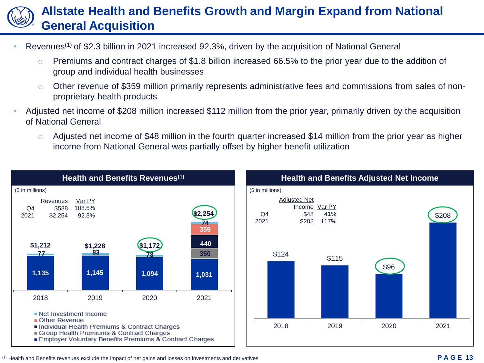

#### **Allstate Health and Benefits Growth and Margin Expand from National General Acquisition**

- Revenues<sup>(1)</sup> of \$2.3 billion in 2021 increased 92.3%, driven by the acquisition of National General
	- o Premiums and contract charges of \$1.8 billion increased 66.5% to the prior year due to the addition of group and individual health businesses
	- o Other revenue of \$359 million primarily represents administrative fees and commissions from sales of nonproprietary health products
- Adjusted net income of \$208 million increased \$112 million from the prior year, primarily driven by the acquisition of National General
	- o Adjusted net income of \$48 million in the fourth quarter increased \$14 million from the prior year as higher income from National General was partially offset by higher benefit utilization



(1) Health and Benefits revenues exclude the impact of net gains and losses on investments and derivatives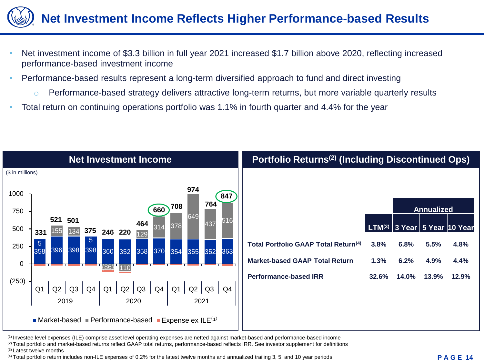# **Net Investment Income Reflects Higher Performance-based Results**

- Net investment income of \$3.3 billion in full year 2021 increased \$1.7 billion above 2020, reflecting increased performance-based investment income
- Performance-based results represent a long-term diversified approach to fund and direct investing
	- o Performance-based strategy delivers attractive long-term returns, but more variable quarterly results
- Total return on continuing operations portfolio was 1.1% in fourth quarter and 4.4% for the year



(1) Investee level expenses (ILE) comprise asset level operating expenses are netted against market-based and performance-based income

(2) Total portfolio and market-based returns reflect GAAP total returns, performance-based reflects IRR. See investor supplement for definitions

(3) Latest twelve months

(4) Total portfolio return includes non-ILE expenses of 0.2% for the latest twelve months and annualized trailing 3, 5, and 10 year periods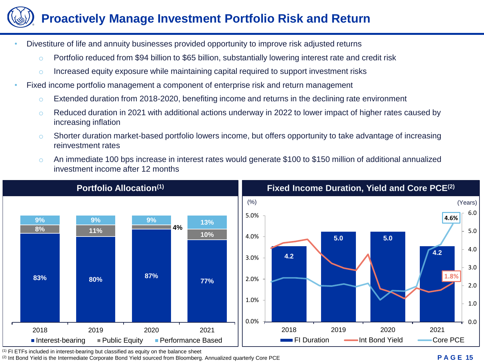## **Proactively Manage Investment Portfolio Risk and Return**

- Divestiture of life and annuity businesses provided opportunity to improve risk adjusted returns
	- $\circ$  Portfolio reduced from \$94 billion to \$65 billion, substantially lowering interest rate and credit risk
	- $\circ$  Increased equity exposure while maintaining capital required to support investment risks
- Fixed income portfolio management a component of enterprise risk and return management
	- $\circ$  Extended duration from 2018-2020, benefiting income and returns in the declining rate environment
	- o Reduced duration in 2021 with additional actions underway in 2022 to lower impact of higher rates caused by increasing inflation
	- o Shorter duration market-based portfolio lowers income, but offers opportunity to take advantage of increasing reinvestment rates
	- o An immediate 100 bps increase in interest rates would generate \$100 to \$150 million of additional annualized investment income after 12 months



 $<sup>(1)</sup>$  FI ETFs included in interest-bearing but classified as equity on the balance sheet</sup>

 $(2)$  Int Bond Yield is the Intermediate Corporate Bond Yield sourced from Bloomberg. Annualized quarterly Core PCE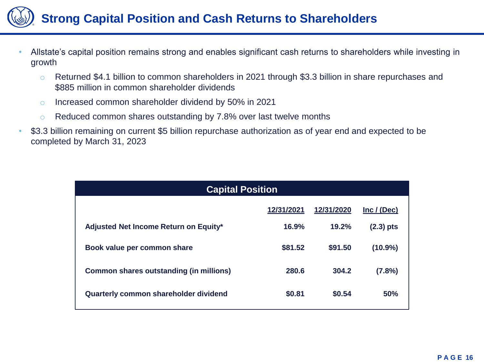#### **Strong Capital Position and Cash Returns to Shareholders**

- Allstate's capital position remains strong and enables significant cash returns to shareholders while investing in growth
	- o Returned \$4.1 billion to common shareholders in 2021 through \$3.3 billion in share repurchases and \$885 million in common shareholder dividends
	- o Increased common shareholder dividend by 50% in 2021
	- o Reduced common shares outstanding by 7.8% over last twelve months
- \$3.3 billion remaining on current \$5 billion repurchase authorization as of year end and expected to be completed by March 31, 2023

| <b>Capital Position</b>                        |            |            |             |  |  |  |  |  |  |
|------------------------------------------------|------------|------------|-------------|--|--|--|--|--|--|
|                                                | 12/31/2021 | 12/31/2020 | Inc / (Dec) |  |  |  |  |  |  |
| Adjusted Net Income Return on Equity*          | 16.9%      | 19.2%      | $(2.3)$ pts |  |  |  |  |  |  |
| Book value per common share                    | \$81.52    | \$91.50    | $(10.9\%)$  |  |  |  |  |  |  |
| <b>Common shares outstanding (in millions)</b> | 280.6      | 304.2      | (7.8%)      |  |  |  |  |  |  |
| Quarterly common shareholder dividend          | \$0.81     | \$0.54     | 50%         |  |  |  |  |  |  |
|                                                |            |            |             |  |  |  |  |  |  |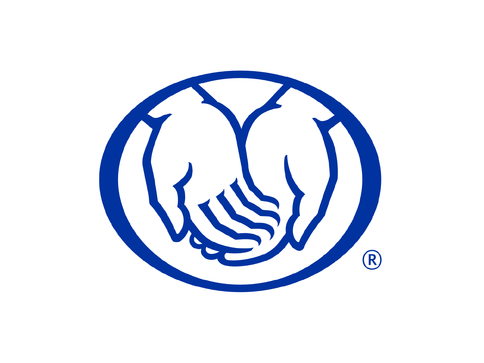